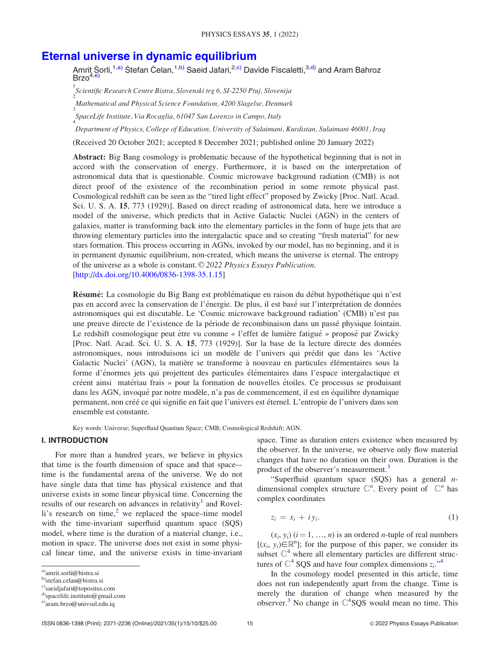# [Eternal universe in dynamic equilibrium](http://dx.doi.org/10.4006/0836-1398-35.1.15)

Amriț Šorli,<sup>1,a)</sup> Štefan Čelan,<sup>1,b)</sup> Saeid Jafari,<sup>2,c)</sup> Davide Fiscaletti,<sup>3,d)</sup> and Aram Bahroz  $Brzo<sup>4, e</sup>$ 

1<br>Scientific Research Centre Bistra, Slovenski trg 6, SI-2250 Ptuj, Slovenija<br>2

Mathematical and Physical Science Foundation, 4200 Slagelse, Denmark

3 SpaceLife Institute, Via Rocaglia, 61047 San Lorenzo in Campo, Italy 4

Department of Physics, College of Education, University of Sulaimani, Kurdistan, Sulaimani 46001, Iraq

(Received 20 October 2021; accepted 8 December 2021; published online 20 January 2022)

Abstract: Big Bang cosmology is problematic because of the hypothetical beginning that is not in accord with the conservation of energy. Furthermore, it is based on the interpretation of astronomical data that is questionable. Cosmic microwave background radiation (CMB) is not direct proof of the existence of the recombination period in some remote physical past. Cosmological redshift can be seen as the "tired light effect" proposed by Zwicky [Proc. Natl. Acad. Sci. U. S. A. 15, 773 (1929)]. Based on direct reading of astronomical data, here we introduce a model of the universe, which predicts that in Active Galactic Nuclei (AGN) in the centers of galaxies, matter is transforming back into the elementary particles in the form of huge jets that are throwing elementary particles into the intergalactic space and so creating "fresh material" for new stars formation. This process occurring in AGNs, invoked by our model, has no beginning, and it is in permanent dynamic equilibrium, non-created, which means the universe is eternal. The entropy of the universe as a whole is constant.  $\odot$  2022 Physics Essays Publication. [http://dx.doi.org/10.4006/0836-1398-35.1.15]

Résumé: La cosmologie du Big Bang est problématique en raison du début hypothétique qui n'est pas en accord avec la conservation de l'energie. De plus, il est base sur l'interpretation de donnees astronomiques qui est discutable. Le 'Cosmic microwave background radiation' (CMB) n'est pas une preuve directe de l'existence de la periode de recombinaison dans un passe physique lointain. Le redshift cosmologique peut être vu comme « l'effet de lumière fatigué » proposé par Zwicky [Proc. Natl. Acad. Sci. U. S. A. 15, 773 (1929)]. Sur la base de la lecture directe des donnees astronomiques, nous introduisons ici un modèle de l'univers qui prédit que dans les 'Active Galactic Nuclei' (AGN), la matière se transforme à nouveau en particules élémentaires sous la forme d'énormes jets qui projettent des particules élémentaires dans l'espace intergalactique et creent ainsi materiau frais » pour la formation de nouvelles etoiles. Ce processus se produisant dans les AGN, invoqué par notre modèle, n'a pas de commencement, il est en équilibre dynamique permanent, non créé ce qui signifie en fait que l'univers est éternel. L'entropie de l'univers dans son ensemble est constante.

Key words: Universe; Superfluid Quantum Space; CMB; Cosmological Redshift; AGN.

## I. INTRODUCTION

For more than a hundred years, we believe in physics that time is the fourth dimension of space and that space– time is the fundamental arena of the universe. We do not have single data that time has physical existence and that universe exists in some linear physical time. Concerning the results of our research on advances in relativity<sup>[1](#page-9-0)</sup> and Rovelli's research on time, $\lambda$ <sup>[2](#page-9-0)</sup> we replaced the space–time model with the time-invariant superfluid quantum space (SQS) model, where time is the duration of a material change, i.e., motion in space. The universe does not exist in some physical linear time, and the universe exists in time-invariant

space. Time as duration enters existence when measured by the observer. In the universe, we observe only flow material changes that have no duration on their own. Duration is the product of the observer's measurement.<sup>[3](#page-9-0)</sup>

"Superfluid quantum space  $(SQS)$  has a general *n*dimensional complex structure  $\mathbb{C}^n$ . Every point of  $\mathbb{C}^n$  has complex coordinates

$$
z_i = x_i + iy_i. \tag{1}
$$

 $(x_i, y_i)$   $(i = 1, ..., n)$  is an ordered *n*-tuple of real numbers  $[(x_i, y_i) \in \mathbb{R}^n]$ ; for the purpose of this paper, we consider its subset  $\mathbb{C}^4$  where all elementary particles are different structures of  $\mathbb{C}^4$  $\mathbb{C}^4$  SQS and have four complex dimensions  $z_i$ ."<sup>4</sup>

In the cosmology model presented in this article, time does not run independently apart from the change. Time is merely the duration of change when measured by the observer.<sup>[3](#page-9-0)</sup> No change in  $\mathbb{C}^4$ SQS would mean no time. This

a)amrit.sorli@bistra.si

b)stefan.celan@bistra.si

c)saeidjafari@topositus.com

d)spacelife.institute@gmail.com

 $e^{\theta}$ aram.brzo $\omega$ univsul.edu.iq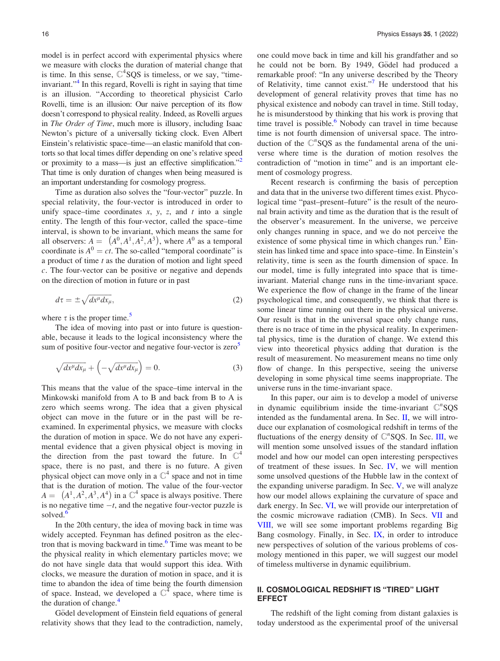<span id="page-1-0"></span>model is in perfect accord with experimental physics where we measure with clocks the duration of material change that is time. In this sense,  $\mathbb{C}^4$ SQS is timeless, or we say, "timeinvariant."[4](#page-9-0) In this regard, Rovelli is right in saying that time is an illusion. "According to theoretical physicist Carlo Rovelli, time is an illusion: Our naive perception of its flow doesn't correspond to physical reality. Indeed, as Rovelli argues in The Order of Time, much more is illusory, including Isaac Newton's picture of a universally ticking clock. Even Albert Einstein's relativistic space–time—an elastic manifold that contorts so that local times differ depending on one's relative speed or proximity to a mass—is just an effective simplification." That time is only duration of changes when being measured is an important understanding for cosmology progress.

Time as duration also solves the "four-vector" puzzle. In special relativity, the four-vector is introduced in order to unify space–time coordinates  $x$ ,  $y$ ,  $z$ , and  $t$  into a single entity. The length of this four-vector, called the space–time interval, is shown to be invariant, which means the same for all observers:  $A = (A^0, A^1, A^2, A^3)$ , where  $A^0$  as a temporal coordinate is  $A^0 = ct$ . The so-called "temporal coordinate" is a product of time  $t$  as the duration of motion and light speed c. The four-vector can be positive or negative and depends on the direction of motion in future or in past

$$
d\tau = \pm \sqrt{dx^{\mu}dx_{\mu}},\tag{2}
$$

where  $\tau$  is the proper time.<sup>[5](#page-9-0)</sup>

The idea of moving into past or into future is questionable, because it leads to the logical inconsistency where the sum of positive four-vector and negative four-vector is zero<sup>3</sup>

$$
\sqrt{dx^{\mu}dx_{\mu}} + \left(-\sqrt{dx^{\mu}dx_{\mu}}\right) = 0. \tag{3}
$$

This means that the value of the space–time interval in the Minkowski manifold from A to B and back from B to A is zero which seems wrong. The idea that a given physical object can move in the future or in the past will be reexamined. In experimental physics, we measure with clocks the duration of motion in space. We do not have any experimental evidence that a given physical object is moving in the direction from the past toward the future. In  $\mathbb{C}^4$ space, there is no past, and there is no future. A given physical object can move only in a  $\mathbb{C}^4$  space and not in time that is the duration of motion. The value of the four-vector  $A = (A^1, A^2, A^3, A^4)$  in a  $\mathbb{C}^4$  space is always positive. There is no negative time  $-t$ , and the negative four-vector puzzle is solved.<sup>[6](#page-9-0)</sup>

In the 20th century, the idea of moving back in time was widely accepted. Feynman has defined positron as the elec-tron that is moving backward in time.<sup>[6](#page-9-0)</sup> Time was meant to be the physical reality in which elementary particles move; we do not have single data that would support this idea. With clocks, we measure the duration of motion in space, and it is time to abandon the idea of time being the fourth dimension of space. Instead, we developed a  $\mathbb{C}^4$  space, where time is the duration of change.<sup>[4](#page-9-0)</sup>

Gödel development of Einstein field equations of general relativity shows that they lead to the contradiction, namely, one could move back in time and kill his grandfather and so he could not be born. By 1949, Gödel had produced a remarkable proof: "In any universe described by the Theory of Relativity, time cannot exist."[7](#page-9-0) He understood that his development of general relativity proves that time has no physical existence and nobody can travel in time. Still today, he is misunderstood by thinking that his work is proving that time travel is possible. $6$  Nobody can travel in time because time is not fourth dimension of universal space. The introduction of the  $\mathbb{C}^n$ SQS as the fundamental arena of the universe where time is the duration of motion resolves the contradiction of "motion in time" and is an important element of cosmology progress.

Recent research is confirming the basis of perception and data that in the universe two different times exist. Phycological time "past–present–future" is the result of the neuronal brain activity and time as the duration that is the result of the observer's measurement. In the universe, we perceive only changes running in space, and we do not perceive the existence of some physical time in which changes  $run<sup>3</sup> Ein run<sup>3</sup> Ein run<sup>3</sup> Ein$ stein has linked time and space into space–time. In Einstein's relativity, time is seen as the fourth dimension of space. In our model, time is fully integrated into space that is timeinvariant. Material change runs in the time-invariant space. We experience the flow of change in the frame of the linear psychological time, and consequently, we think that there is some linear time running out there in the physical universe. Our result is that in the universal space only change runs, there is no trace of time in the physical reality. In experimental physics, time is the duration of change. We extend this view into theoretical physics adding that duration is the result of measurement. No measurement means no time only flow of change. In this perspective, seeing the universe developing in some physical time seems inappropriate. The universe runs in the time-invariant space.

In this paper, our aim is to develop a model of universe in dynamic equilibrium inside the time-invariant  $\mathbb{C}^n$ SQS intended as the fundamental arena. In Sec. II, we will introduce our explanation of cosmological redshift in terms of the fluctuations of the energy density of  $\mathbb{C}^n$ SQS. In Sec. [III,](#page-3-0) we will mention some unsolved issues of the standard inflation model and how our model can open interesting perspectives of treatment of these issues. In Sec. [IV,](#page-5-0) we will mention some unsolved questions of the Hubble law in the context of the expanding universe paradigm. In Sec. [V](#page-6-0), we will analyze how our model allows explaining the curvature of space and dark energy. In Sec. [VI,](#page-6-0) we will provide our interpretation of the cosmic microwave radiation (CMB). In Secs. [VII](#page-7-0) and [VIII](#page-8-0), we will see some important problems regarding Big Bang cosmology. Finally, in Sec. [IX](#page-8-0), in order to introduce new perspectives of solution of the various problems of cosmology mentioned in this paper, we will suggest our model of timeless multiverse in dynamic equilibrium.

#### II. COSMOLOGICAL REDSHIFT IS "TIRED" LIGHT EFFECT

The redshift of the light coming from distant galaxies is today understood as the experimental proof of the universal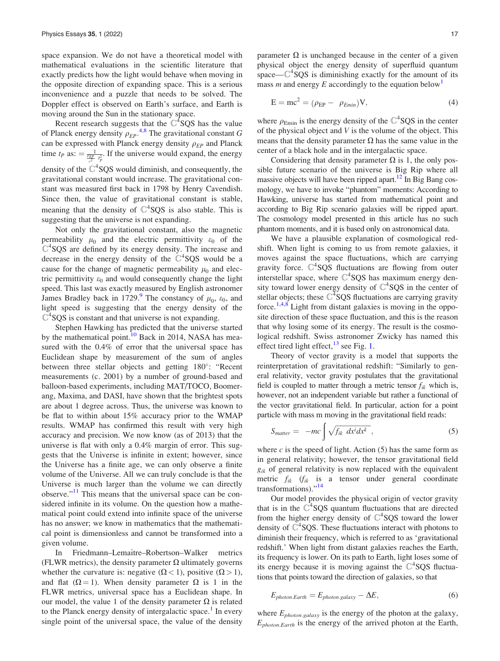<span id="page-2-0"></span>space expansion. We do not have a theoretical model with mathematical evaluations in the scientific literature that exactly predicts how the light would behave when moving in the opposite direction of expanding space. This is a serious inconvenience and a puzzle that needs to be solved. The Doppler effect is observed on Earth's surface, and Earth is moving around the Sun in the stationary space.

Recent research suggests that the  $\mathbb{C}^4$ SQS has the value of Planck energy density  $\rho_{EP}$ <sup>[4](#page-9-0),[8](#page-9-0)</sup> The gravitational constant G can be expressed with Planck energy density  $\rho_{EP}$  and Planck time  $t_P$  as:  $= \frac{1}{\frac{p_{EP}}{c^2} + \frac{p^2}{P}}$ . If the universe would expand, the energy density of the  $\mathbb{C}^4$ SQS would diminish, and consequently, the gravitational constant would increase. The gravitational constant was measured first back in 1798 by Henry Cavendish. Since then, the value of gravitational constant is stable, meaning that the density of  $\mathbb{C}^4$ SQS is also stable. This is suggesting that the universe is not expanding.

Not only the gravitational constant, also the magnetic permeability  $\mu_0$  and the electric permittivity  $\varepsilon_0$  of the  $\mathbb{C}^4$ SQS are defined by its energy density. The increase and decrease in the energy density of the  $C<sup>4</sup>SQS$  would be a cause for the change of magnetic permeability  $\mu_0$  and electric permittivity  $\varepsilon_0$  and would consequently change the light speed. This last was exactly measured by English astronomer James Bradley back in 172[9](#page-9-0).<sup>9</sup> The constancy of  $\mu_0$ ,  $\varepsilon_0$ , and light speed is suggesting that the energy density of the  $C<sup>4</sup>$  SQS is constant and that universe is not expanding.

Stephen Hawking has predicted that the universe started by the mathematical point.<sup>[10](#page-9-0)</sup> Back in 2014, NASA has measured with the 0.4% of error that the universal space has Euclidean shape by measurement of the sum of angles between three stellar objects and getting 180°: "Recent measurements (c. 2001) by a number of ground-based and balloon-based experiments, including MAT/TOCO, Boomerang, Maxima, and DASI, have shown that the brightest spots are about 1 degree across. Thus, the universe was known to be flat to within about 15% accuracy prior to the WMAP results. WMAP has confirmed this result with very high accuracy and precision. We now know (as of 2013) that the universe is flat with only a 0.4% margin of error. This suggests that the Universe is infinite in extent; however, since the Universe has a finite age, we can only observe a finite volume of the Universe. All we can truly conclude is that the Universe is much larger than the volume we can directly observe."<sup>[11](#page-9-0)</sup> This means that the universal space can be considered infinite in its volume. On the question how a mathematical point could extend into infinite space of the universe has no answer; we know in mathematics that the mathematical point is dimensionless and cannot be transformed into a given volume.

In Friedmann–Lemaître–Robertson–Walker metrics (FLWR metrics), the density parameter  $\Omega$  ultimately governs whether the curvature is: negative  $(\Omega < 1)$ , positive  $(\Omega > 1)$ , and flat  $(\Omega = 1)$ . When density parameter  $\Omega$  is 1 in the FLWR metrics, universal space has a Euclidean shape. In our model, the value 1 of the density parameter  $\Omega$  is related to the Planck energy density of intergalactic space.<sup>[1](#page-9-0)</sup> In every single point of the universal space, the value of the density parameter  $\Omega$  is unchanged because in the center of a given physical object the energy density of superfluid quantum space— $\mathbb{C}^4$ SQS is diminishing exactly for the amount of its mass m and energy E accordingly to the equation below<sup>[1](#page-9-0)</sup>

$$
E = mc2 = (\rho_{EP} - \rho_{Emin})V,
$$
\n(4)

where  $\rho_{\text{Emin}}$  is the energy density of the  $\mathbb{C}^4$ SQS in the center of the physical object and  $V$  is the volume of the object. This means that the density parameter  $\Omega$  has the same value in the center of a black hole and in the intergalactic space.

Considering that density parameter  $\Omega$  is 1, the only possible future scenario of the universe is Big Rip where all massive objects will have been ripped apart.<sup>12</sup> In Big Bang cosmology, we have to invoke "phantom" moments: According to Hawking, universe has started from mathematical point and according to Big Rip scenario galaxies will be ripped apart. The cosmology model presented in this article has no such phantom moments, and it is based only on astronomical data.

We have a plausible explanation of cosmological redshift. When light is coming to us from remote galaxies, it moves against the space fluctuations, which are carrying gravity force.  $C^4$ SQS fluctuations are flowing from outer interstellar space, where  $C^4$ SQS has maximum energy density toward lower energy density of  $\mathbb{C}^4$ SQS in the center of stellar objects; these  $\mathbb{C}^4$  SQS fluctuations are carrying gravity force.<sup>[1,4,8](#page-9-0)</sup> Light from distant galaxies is moving in the opposite direction of these space fluctuation, and this is the reason that why losing some of its energy. The result is the cosmological redshift. Swiss astronomer Zwicky has named this effect tired light effect,  $^{13}$  $^{13}$  $^{13}$  see Fig. [1](#page-3-0).

Theory of vector gravity is a model that supports the reinterpretation of gravitational redshift: "Similarly to general relativity, vector gravity postulates that the gravitational field is coupled to matter through a metric tensor  $f_{ik}$  which is, however, not an independent variable but rather a functional of the vector gravitational field. In particular, action for a point particle with mass m moving in the gravitational field reads:

$$
S_{matter} = -mc \int \sqrt{f_{ik} dx^{i} dx^{k}},
$$
 (5)

where c is the speed of light. Action  $(5)$  has the same form as in general relativity; however, the tensor gravitational field  $g_{ik}$  of general relativity is now replaced with the equivalent metric  $f_{ik}$  ( $f_{ik}$  is a tensor under general coordinate transformations)."[14](#page-9-0)

Our model provides the physical origin of vector gravity that is in the  $\hat{C}^4$ SQS quantum fluctuations that are directed from the higher energy density of  $\mathbb{C}^4$ SQS toward the lower density of  $C<sup>4</sup>$  SQS. These fluctuations interact with photons to diminish their frequency, which is referred to as 'gravitational redshift.' When light from distant galaxies reaches the Earth, its frequency is lower. On its path to Earth, light loses some of its energy because it is moving against the  $\mathbb{C}^4$ SQS fluctuations that points toward the direction of galaxies, so that

$$
E_{photon. Earth} = E_{photon. galaxy} - \Delta E,
$$
\n(6)

where  $E_{photon,galaxy}$  is the energy of the photon at the galaxy,  $E_{photon, Earth}$  is the energy of the arrived photon at the Earth,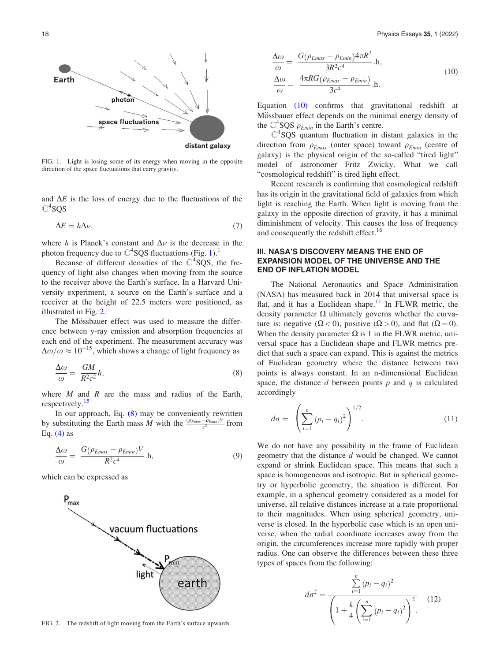<span id="page-3-0"></span>

FIG. 1. Light is losing some of its energy when moving in the opposite direction of the space fluctuations that carry gravity.

and  $\Delta E$  is the loss of energy due to the fluctuations of the  $\mathbb{C}^4$ SQS

$$
\Delta E = h \Delta \nu,\tag{7}
$$

where h is Planck's constant and  $\Delta \nu$  is the decrease in the photon frequency due to  $\mathbb{C}^4$ SQS fluctuations (Fig. [1](#page-9-0)).<sup>1</sup>

Because of different densities of the  $C<sup>4</sup>SQS$ , the frequency of light also changes when moving from the source to the receiver above the Earth's surface. In a Harvard University experiment, a source on the Earth's surface and a receiver at the height of 22.5 meters were positioned, as illustrated in Fig. 2.

The Mössbauer effect was used to measure the difference between y-ray emission and absorption frequencies at each end of the experiment. The measurement accuracy was  $\Delta\omega/\omega \approx 10^{-15}$ , which shows a change of light frequency as

$$
\frac{\Delta \omega}{\omega} = \frac{GM}{R^2 c^2} h,\tag{8}
$$

where  $M$  and  $R$  are the mass and radius of the Earth, respectively.<sup>[15](#page-9-0)</sup>

In our approach, Eq.  $(8)$  may be conveniently rewritten by substituting the Earth mass M with the  $\frac{(\rho_{Emax}-\rho_{Emin})V}{c^2}$  from Eq.  $(4)$  as

$$
\frac{\Delta \omega}{\omega} = \frac{G(\rho_{Emax} - \rho_{Emin})V}{R^2 c^4} \cdot h,\tag{9}
$$

which can be expressed as



FIG. 2. The redshift of light moving from the Earth's surface upwards.

$$
\frac{\Delta\omega}{\omega} = \frac{G(\rho_{Emax} - \rho_{Emin})4\pi R^3}{3R^2c^4} \cdot h,
$$
\n
$$
\frac{\Delta\omega}{\omega} = \frac{4\pi RG(\rho_{Emax} - \rho_{Emin})}{3c^4} \cdot h.
$$
\n(10)

Equation (10) confirms that gravitational redshift at Mössbauer effect depends on the minimal energy density of the  $\mathbb{C}^4$ SQS  $\rho_{Emin}$  in the Earth's centre.

 $C<sup>4</sup>$  SQS quantum fluctuation in distant galaxies in the direction from  $\rho_{Emax}$  (outer space) toward  $\rho_{Emin}$  (centre of galaxy) is the physical origin of the so-called "tired light" model of astronomer Fritz Zwicky. What we call "cosmological redshift" is tired light effect.

Recent research is confirming that cosmological redshift has its origin in the gravitational field of galaxies from which light is reaching the Earth. When light is moving from the galaxy in the opposite direction of gravity, it has a minimal diminishment of velocity. This causes the loss of frequency and consequently the redshift effect.<sup>[16](#page-9-0)</sup>

## III. NASA'S DISCOVERY MEANS THE END OF EXPANSION MODEL OF THE UNIVERSE AND THE END OF INFLATION MODEL

The National Aeronautics and Space Administration (NASA) has measured back in 2014 that universal space is flat, and it has a Euclidean shape. $11$  In FLWR metric, the density parameter  $\Omega$  ultimately governs whether the curvature is: negative  $(\Omega < 0)$ , positive  $(\Omega > 0)$ , and flat  $(\Omega = 0)$ . When the density parameter  $\Omega$  is 1 in the FLWR metric, universal space has a Euclidean shape and FLWR metrics predict that such a space can expand. This is against the metrics of Euclidean geometry where the distance between two points is always constant. In an n-dimensional Euclidean space, the distance d between points  $p$  and  $q$  is calculated accordingly

$$
d\sigma = \left(\sum_{i=1}^{n} (p_i - q_i)^2\right)^{1/2}.
$$
 (11)

We do not have any possibility in the frame of Euclidean geometry that the distance d would be changed. We cannot expand or shrink Euclidean space. This means that such a space is homogeneous and isotropic. But in spherical geometry or hyperbolic geometry, the situation is different. For example, in a spherical geometry considered as a model for universe, all relative distances increase at a rate proportional to their magnitudes. When using spherical geometry, universe is closed. In the hyperbolic case which is an open universe, when the radial coordinate increases away from the origin, the circumferences increase more rapidly with proper radius. One can observe the differences between these three types of spaces from the following:

$$
d\sigma^{2} = \frac{\sum_{i=1}^{n} (p_{i} - q_{i})^{2}}{\left(1 + \frac{k}{4} \left(\sum_{i=1}^{n} (p_{i} - q_{i})^{2}\right)^{2}\right)}.
$$
 (12)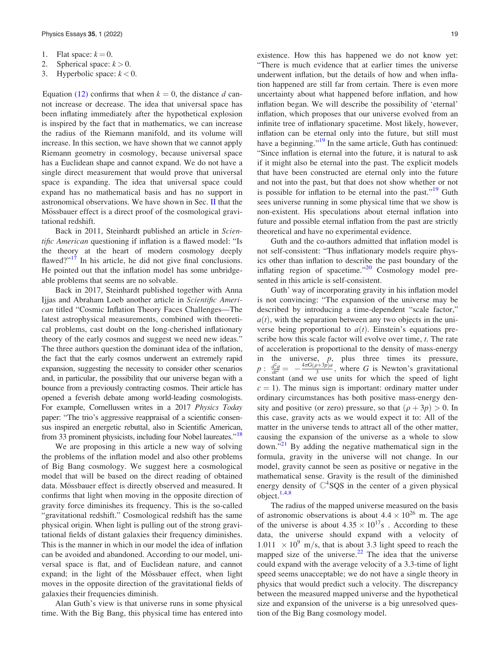- 1. Flat space:  $k = 0$ .
- 2. Spherical space:  $k > 0$ .
- 3. Hyperbolic space:  $k < 0$ .

Equation [\(12\)](#page-3-0) confirms that when  $k = 0$ , the distance d cannot increase or decrease. The idea that universal space has been inflating immediately after the hypothetical explosion is inspired by the fact that in mathematics, we can increase the radius of the Riemann manifold, and its volume will increase. In this section, we have shown that we cannot apply Riemann geometry in cosmology, because universal space has a Euclidean shape and cannot expand. We do not have a single direct measurement that would prove that universal space is expanding. The idea that universal space could expand has no mathematical basis and has no support in astronomical observations. We have shown in Sec. [II](#page-1-0) that the Mössbauer effect is a direct proof of the cosmological gravitational redshift.

Back in 2011, Steinhardt published an article in Scientific American questioning if inflation is a flawed model: "Is the theory at the heart of modern cosmology deeply flawed?"<sup>[17](#page-9-0)</sup> In his article, he did not give final conclusions. He pointed out that the inflation model has some unbridgeable problems that seems are no solvable.

Back in 2017, Steinhardt published together with Anna Ijjas and Abraham Loeb another article in Scientific American titled "Cosmic Inflation Theory Faces Challenges—The latest astrophysical measurements, combined with theoretical problems, cast doubt on the long-cherished inflationary theory of the early cosmos and suggest we need new ideas." The three authors question the dominant idea of the inflation, the fact that the early cosmos underwent an extremely rapid expansion, suggesting the necessity to consider other scenarios and, in particular, the possibility that our universe began with a bounce from a previously contracting cosmos. Their article has opened a feverish debate among world-leading cosmologists. For example, Cornellussen writes in a 2017 Physics Today paper: "The trio's aggressive reappraisal of a scientific consensus inspired an energetic rebuttal, also in Scientific American, from 33 prominent physicists, including four Nobel laureates."<sup>[18](#page-9-0)</sup>

We are proposing in this article a new way of solving the problems of the inflation model and also other problems of Big Bang cosmology. We suggest here a cosmological model that will be based on the direct reading of obtained data. Mössbauer effect is directly observed and measured. It confirms that light when moving in the opposite direction of gravity force diminishes its frequency. This is the so-called "gravitational redshift." Cosmological redshift has the same physical origin. When light is pulling out of the strong gravitational fields of distant galaxies their frequency diminishes. This is the manner in which in our model the idea of inflation can be avoided and abandoned. According to our model, universal space is flat, and of Euclidean nature, and cannot expand; in the light of the Mössbauer effect, when light moves in the opposite direction of the gravitational fields of galaxies their frequencies diminish.

Alan Guth's view is that universe runs in some physical time. With the Big Bang, this physical time has entered into existence. How this has happened we do not know yet: "There is much evidence that at earlier times the universe underwent inflation, but the details of how and when inflation happened are still far from certain. There is even more uncertainty about what happened before inflation, and how inflation began. We will describe the possibility of 'eternal' inflation, which proposes that our universe evolved from an infinite tree of inflationary spacetime. Most likely, however, inflation can be eternal only into the future, but still must have a beginning."<sup>[19](#page-9-0)</sup> In the same article, Guth has continued: "Since inflation is eternal into the future, it is natural to ask if it might also be eternal into the past. The explicit models that have been constructed are eternal only into the future and not into the past, but that does not show whether or not is possible for inflation to be eternal into the past."<sup>[19](#page-9-0)</sup> Guth sees universe running in some physical time that we show is non-existent. His speculations about eternal inflation into future and possible eternal inflation from the past are strictly theoretical and have no experimental evidence.

Guth and the co-authors admitted that inflation model is not self-consistent: "Thus inflationary models require physics other than inflation to describe the past boundary of the inflating region of spacetime." $20$  Cosmology model presented in this article is self-consistent.

Guth' way of incorporating gravity in his inflation model is not convincing: "The expansion of the universe may be described by introducing a time-dependent "scale factor,"  $a(t)$ , with the separation between any two objects in the universe being proportional to  $a(t)$ . Einstein's equations prescribe how this scale factor will evolve over time, t. The rate of acceleration is proportional to the density of mass-energy in the universe,  $p$ , plus three times its pressure,  $p: \frac{d^2a}{dt^2} = -\frac{4\pi G(\rho+3p)a}{3}$ , where G is Newton's gravitational constant (and we use units for which the speed of light  $c = 1$ ). The minus sign is important: ordinary matter under ordinary circumstances has both positive mass-energy density and positive (or zero) pressure, so that  $(\rho + 3p) > 0$ . In this case, gravity acts as we would expect it to: All of the matter in the universe tends to attract all of the other matter, causing the expansion of the universe as a whole to slow down. $\sqrt{21}$  $\sqrt{21}$  $\sqrt{21}$  By adding the negative mathematical sign in the formula, gravity in the universe will not change. In our model, gravity cannot be seen as positive or negative in the mathematical sense. Gravity is the result of the diminished energy density of  $\mathbb{C}^4$ SQS in the center of a given physical object.[1,4,8](#page-9-0)

The radius of the mapped universe measured on the basis of astronomic observations is about  $4.4 \times 10^{26}$  m. The age of the universe is about  $4.35 \times 10^{17}$  . According to these data, the universe should expand with a velocity of  $1.011 \times 10^9$  m/s, that is about 3.3 light speed to reach the mapped size of the universe.<sup>[22](#page-9-0)</sup> The idea that the universe could expand with the average velocity of a 3.3-time of light speed seems unacceptable; we do not have a single theory in physics that would predict such a velocity. The discrepancy between the measured mapped universe and the hypothetical size and expansion of the universe is a big unresolved question of the Big Bang cosmology model.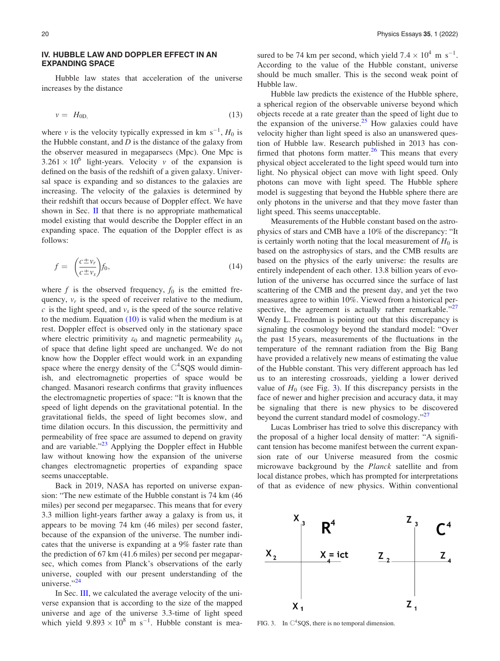#### <span id="page-5-0"></span>IV. HUBBLE LAW AND DOPPLER EFFECT IN AN EXPANDING SPACE

Hubble law states that acceleration of the universe increases by the distance

$$
v = H_{0D,}
$$
 (13)

where v is the velocity typically expressed in km  $s^{-1}$ ,  $H_0$  is the Hubble constant, and  $D$  is the distance of the galaxy from the observer measured in megaparsecs (Mpc). One Mpc is  $3.261 \times 10^6$  light-years. Velocity v of the expansion is defined on the basis of the redshift of a given galaxy. Universal space is expanding and so distances to the galaxies are increasing. The velocity of the galaxies is determined by their redshift that occurs because of Doppler effect. We have shown in Sec.  $\mathbf{I}$  that there is no appropriate mathematical model existing that would describe the Doppler effect in an expanding space. The equation of the Doppler effect is as follows:

$$
f = \left(\frac{c \pm v_r}{c \pm v_s}\right) f_0,\tag{14}
$$

where f is the observed frequency,  $f_0$  is the emitted frequency,  $v_r$  is the speed of receiver relative to the medium,  $c$  is the light speed, and  $v<sub>s</sub>$  is the speed of the source relative to the medium. Equation  $(10)$  is valid when the medium is at rest. Doppler effect is observed only in the stationary space where electric primitivity  $\varepsilon_0$  and magnetic permeability  $\mu_0$ of space that define light speed are unchanged. We do not know how the Doppler effect would work in an expanding space where the energy density of the  $\mathbb{C}^4$ SQS would diminish, and electromagnetic properties of space would be changed. Masanori research confirms that gravity influences the electromagnetic properties of space: "It is known that the speed of light depends on the gravitational potential. In the gravitational fields, the speed of light becomes slow, and time dilation occurs. In this discussion, the permittivity and permeability of free space are assumed to depend on gravity and are variable."<sup>[23](#page-9-0)</sup> Applying the Doppler effect in Hubble law without knowing how the expansion of the universe changes electromagnetic properties of expanding space seems unacceptable.

Back in 2019, NASA has reported on universe expansion: "The new estimate of the Hubble constant is 74 km (46 miles) per second per megaparsec. This means that for every 3.3 million light-years farther away a galaxy is from us, it appears to be moving 74 km (46 miles) per second faster, because of the expansion of the universe. The number indicates that the universe is expanding at a 9% faster rate than the prediction of 67 km (41.6 miles) per second per megaparsec, which comes from Planck's observations of the early universe, coupled with our present understanding of the universe." $24$ 

In Sec. [III](#page-3-0), we calculated the average velocity of the universe expansion that is according to the size of the mapped universe and age of the universe 3.3-time of light speed which yield  $9.893 \times 10^8$  m s<sup>-1</sup>. Hubble constant is mea-

sured to be 74 km per second, which yield  $7.4 \times 10^4$  m s<sup>-1</sup>. According to the value of the Hubble constant, universe should be much smaller. This is the second weak point of Hubble law.

Hubble law predicts the existence of the Hubble sphere, a spherical region of the observable universe beyond which objects recede at a rate greater than the speed of light due to the expansion of the universe.<sup>[25](#page-9-0)</sup> How galaxies could have velocity higher than light speed is also an unanswered question of Hubble law. Research published in 2013 has confirmed that photons form matter. $26$  This means that every physical object accelerated to the light speed would turn into light. No physical object can move with light speed. Only photons can move with light speed. The Hubble sphere model is suggesting that beyond the Hubble sphere there are only photons in the universe and that they move faster than light speed. This seems unacceptable.

Measurements of the Hubble constant based on the astrophysics of stars and CMB have a 10% of the discrepancy: "It is certainly worth noting that the local measurement of  $H_0$  is based on the astrophysics of stars, and the CMB results are based on the physics of the early universe: the results are entirely independent of each other. 13.8 billion years of evolution of the universe has occurred since the surface of last scattering of the CMB and the present day, and yet the two measures agree to within 10%. Viewed from a historical per-spective, the agreement is actually rather remarkable."<sup>[27](#page-9-0)</sup> Wendy L. Freedman is pointing out that this discrepancy is signaling the cosmology beyond the standard model: "Over the past 15 years, measurements of the fluctuations in the temperature of the remnant radiation from the Big Bang have provided a relatively new means of estimating the value of the Hubble constant. This very different approach has led us to an interesting crossroads, yielding a lower derived value of  $H_0$  (see Fig. 3). If this discrepancy persists in the face of newer and higher precision and accuracy data, it may be signaling that there is new physics to be discovered beyond the current standard model of cosmology."<sup>[27](#page-9-0)</sup>

Lucas Lombriser has tried to solve this discrepancy with the proposal of a higher local density of matter: "A significant tension has become manifest between the current expansion rate of our Universe measured from the cosmic microwave background by the Planck satellite and from local distance probes, which has prompted for interpretations of that as evidence of new physics. Within conventional



FIG. 3. In  $\mathbb{C}^4$  SQS, there is no temporal dimension.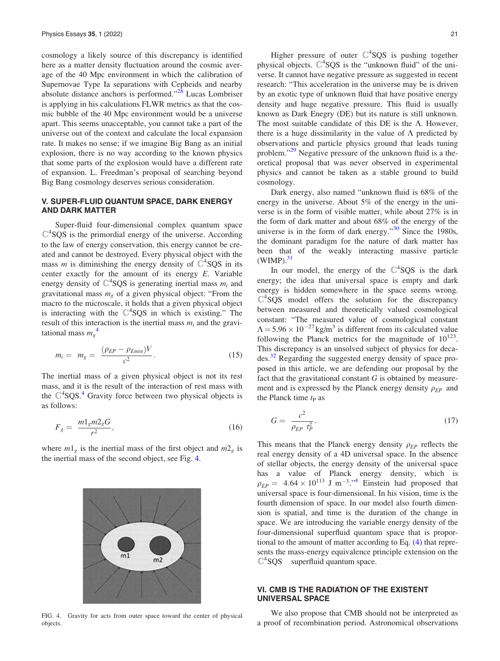<span id="page-6-0"></span>cosmology a likely source of this discrepancy is identified here as a matter density fluctuation around the cosmic average of the 40 Mpc environment in which the calibration of Supernovae Type Ia separations with Cepheids and nearby absolute distance anchors is performed."<sup>[28](#page-9-0)</sup> Lucas Lombriser is applying in his calculations FLWR metrics as that the cosmic bubble of the 40 Mpc environment would be a universe apart. This seems unacceptable, you cannot take a part of the universe out of the context and calculate the local expansion rate. It makes no sense; if we imagine Big Bang as an initial explosion, there is no way according to the known physics that some parts of the explosion would have a different rate of expansion. L. Freedman's proposal of searching beyond Big Bang cosmology deserves serious consideration.

## V. SUPER-FLUID QUANTUM SPACE, DARK ENERGY AND DARK MATTER

Super-fluid four-dimensional complex quantum space  $\mathbb{C}^4$ SQS is the primordial energy of the universe. According to the law of energy conservation, this energy cannot be created and cannot be destroyed. Every physical object with the mass *m* is diminishing the energy density of  $C^4$  SQS in its center exactly for the amount of its energy  $E$ . Variable energy density of  $\mathbb{C}^4$ SQS is generating inertial mass  $m_i$  and gravitational mass  $m_{\varrho}$  of a given physical object: "From the macro to the microscale, it holds that a given physical object is interacting with the  $C<sup>4</sup>SQS$  in which is existing." The result of this interaction is the inertial mass  $m_i$  and the gravitational mass  $m_g^4$  $m_g^4$ 

$$
m_i = m_g = \frac{(\rho_{EP} - \rho_{Emin})V}{c^2}.
$$
\n(15)

The inertial mass of a given physical object is not its rest mass, and it is the result of the interaction of rest mass with the  $\mathbb{C}^4$  $\mathbb{C}^4$ SQS.<sup>4</sup> Gravity force between two physical objects is as follows:

$$
F_g = \frac{m_1 m_2 g}{r^2},\tag{16}
$$

where  $m_1$ <sub>g</sub> is the inertial mass of the first object and  $m_2$  is the inertial mass of the second object, see Fig. 4.



FIG. 4. Gravity for acts from outer space toward the center of physical objects.

Higher pressure of outer  $C^4$ SQS is pushing together physical objects.  $C<sup>4</sup>SQS$  is the "unknown fluid" of the universe. It cannot have negative pressure as suggested in recent research: "This acceleration in the universe may be is driven by an exotic type of unknown fluid that have positive energy density and huge negative pressure. This fluid is usually known as Dark Enegry (DE) but its nature is still unknown. The most suitable candidate of this DE is the  $\Lambda$ . However, there is a huge dissimilarity in the value of  $\Lambda$  predicted by observations and particle physics ground that leads tuning problem."<sup>[29](#page-9-0)</sup> Negative pressure of the unknown fluid is a theoretical proposal that was never observed in experimental physics and cannot be taken as a stable ground to build cosmology.

Dark energy, also named "unknown fluid is 68% of the energy in the universe. About 5% of the energy in the universe is in the form of visible matter, while about 27% is in the form of dark matter and about 68% of the energy of the universe is in the form of dark energy." $30$  Since the 1980s, the dominant paradigm for the nature of dark matter has been that of the weakly interacting massive particle  $(WIMP).$ <sup>31</sup>

In our model, the energy of the  $\mathbb{C}^4$ SQS is the dark energy; the idea that universal space is empty and dark energy is hidden somewhere in the space seems wrong.  $C<sup>4</sup>$ SQS model offers the solution for the discrepancy between measured and theoretically valued cosmological constant: "The measured value of cosmological constant  $\Lambda = 5.96 \times 10^{-27}$  kg/m<sup>3</sup> is different from its calculated value following the Planck metrics for the magnitude of  $10^{123}$ . This discrepancy is an unsolved subject of physics for decades.[32](#page-9-0) Regarding the suggested energy density of space proposed in this article, we are defending our proposal by the fact that the gravitational constant  $G$  is obtained by measurement and is expressed by the Planck energy density  $\rho_{EP}$  and the Planck time  $t_{\rm P}$  as

$$
G = \frac{c^2}{\rho_{EP} t_P^2}.
$$
\n<sup>(17)</sup>

This means that the Planck energy density  $\rho_{FP}$  reflects the real energy density of a 4D universal space. In the absence of stellar objects, the energy density of the universal space has a value of Planck energy density, which is  $\rho_{EP} = 4.64 \times 10^{113}$  $\rho_{EP} = 4.64 \times 10^{113}$  $\rho_{EP} = 4.64 \times 10^{113}$  J m<sup>-3</sup>.<sup>4</sup> Einstein had proposed that universal space is four-dimensional. In his vision, time is the fourth dimension of space. In our model also fourth dimension is spatial, and time is the duration of the change in space. We are introducing the variable energy density of the four-dimensional superfluid quantum space that is proportional to the amount of matter according to Eq. [\(4\)](#page-2-0) that represents the mass-energy equivalence principle extension on the  $\mathbb{C}^4$ SQS superfluid quantum space.

## VI. CMB IS THE RADIATION OF THE EXISTENT UNIVERSAL SPACE

We also propose that CMB should not be interpreted as a proof of recombination period. Astronomical observations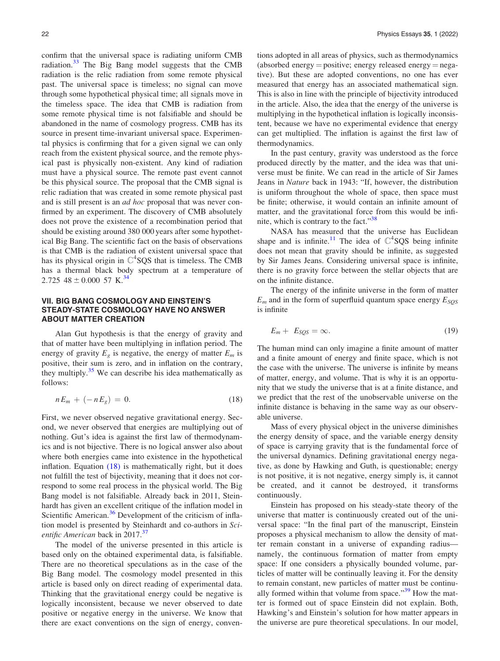<span id="page-7-0"></span>confirm that the universal space is radiating uniform CMB radiation. $33$  The Big Bang model suggests that the CMB radiation is the relic radiation from some remote physical past. The universal space is timeless; no signal can move through some hypothetical physical time; all signals move in the timeless space. The idea that CMB is radiation from some remote physical time is not falsifiable and should be abandoned in the name of cosmology progress. CMB has its source in present time-invariant universal space. Experimental physics is confirming that for a given signal we can only reach from the existent physical source, and the remote physical past is physically non-existent. Any kind of radiation must have a physical source. The remote past event cannot be this physical source. The proposal that the CMB signal is relic radiation that was created in some remote physical past and is still present is an ad hoc proposal that was never confirmed by an experiment. The discovery of CMB absolutely does not prove the existence of a recombination period that should be existing around 380 000 years after some hypothetical Big Bang. The scientific fact on the basis of observations is that CMB is the radiation of existent universal space that has its physical origin in  $\mathbb{C}^4$ SQS that is timeless. The CMB has a thermal black body spectrum at a temperature of 2.725  $48 \pm 0.000$  57 K.<sup>[34](#page-9-0)</sup>

# VII. BIG BANG COSMOLOGY AND EINSTEIN'S STEADY-STATE COSMOLOGY HAVE NO ANSWER ABOUT MATTER CREATION

Alan Gut hypothesis is that the energy of gravity and that of matter have been multiplying in inflation period. The energy of gravity  $E<sub>g</sub>$  is negative, the energy of matter  $E<sub>m</sub>$  is positive, their sum is zero, and in inflation on the contrary, they multiply.<sup>[35](#page-9-0)</sup> We can describe his idea mathematically as follows:

$$
nE_m + (-nE_g) = 0.
$$
 (18)

First, we never observed negative gravitational energy. Second, we never observed that energies are multiplying out of nothing. Gut's idea is against the first law of thermodynamics and is not bijective. There is no logical answer also about where both energies came into existence in the hypothetical inflation. Equation  $(18)$  is mathematically right, but it does not fulfill the test of bijectivity, meaning that it does not correspond to some real process in the physical world. The Big Bang model is not falsifiable. Already back in 2011, Steinhardt has given an excellent critique of the inflation model in Scientific American.<sup>[36](#page-9-0)</sup> Development of the criticism of inflation model is presented by Steinhardt and co-authors in Sci-entific American back in 2017.<sup>[37](#page-9-0)</sup>

The model of the universe presented in this article is based only on the obtained experimental data, is falsifiable. There are no theoretical speculations as in the case of the Big Bang model. The cosmology model presented in this article is based only on direct reading of experimental data. Thinking that the gravitational energy could be negative is logically inconsistent, because we never observed to date positive or negative energy in the universe. We know that there are exact conventions on the sign of energy, conventions adopted in all areas of physics, such as thermodynamics (absorbed energy = positive; energy released energy =  $nega$ tive). But these are adopted conventions, no one has ever measured that energy has an associated mathematical sign. This is also in line with the principle of bijectivity introduced in the article. Also, the idea that the energy of the universe is multiplying in the hypothetical inflation is logically inconsistent, because we have no experimental evidence that energy can get multiplied. The inflation is against the first law of thermodynamics.

In the past century, gravity was understood as the force produced directly by the matter, and the idea was that universe must be finite. We can read in the article of Sir James Jeans in Nature back in 1943: "If, however, the distribution is uniform throughout the whole of space, then space must be finite; otherwise, it would contain an infinite amount of matter, and the gravitational force from this would be infinite, which is contrary to the fact."[38](#page-9-0)

NASA has measured that the universe has Euclidean shape and is infinite.<sup>[11](#page-9-0)</sup> The idea of  $\mathbb{C}^4$ SQS being infinite does not mean that gravity should be infinite, as suggested by Sir James Jeans. Considering universal space is infinite, there is no gravity force between the stellar objects that are on the infinite distance.

The energy of the infinite universe in the form of matter  $E_m$  and in the form of superfluid quantum space energy  $E_{SQS}$ is infinite

$$
E_m + E_{SQS} = \infty. \tag{19}
$$

The human mind can only imagine a finite amount of matter and a finite amount of energy and finite space, which is not the case with the universe. The universe is infinite by means of matter, energy, and volume. That is why it is an opportunity that we study the universe that is at a finite distance, and we predict that the rest of the unobservable universe on the infinite distance is behaving in the same way as our observable universe.

Mass of every physical object in the universe diminishes the energy density of space, and the variable energy density of space is carrying gravity that is the fundamental force of the universal dynamics. Defining gravitational energy negative, as done by Hawking and Guth, is questionable; energy is not positive, it is not negative, energy simply is, it cannot be created, and it cannot be destroyed, it transforms continuously.

Einstein has proposed on his steady-state theory of the universe that matter is continuously created out of the universal space: "In the final part of the manuscript, Einstein proposes a physical mechanism to allow the density of matter remain constant in a universe of expanding radius namely, the continuous formation of matter from empty space: If one considers a physically bounded volume, particles of matter will be continually leaving it. For the density to remain constant, new particles of matter must be continually formed within that volume from space." $39$  How the matter is formed out of space Einstein did not explain. Both, Hawking's and Einstein's solution for how matter appears in the universe are pure theoretical speculations. In our model,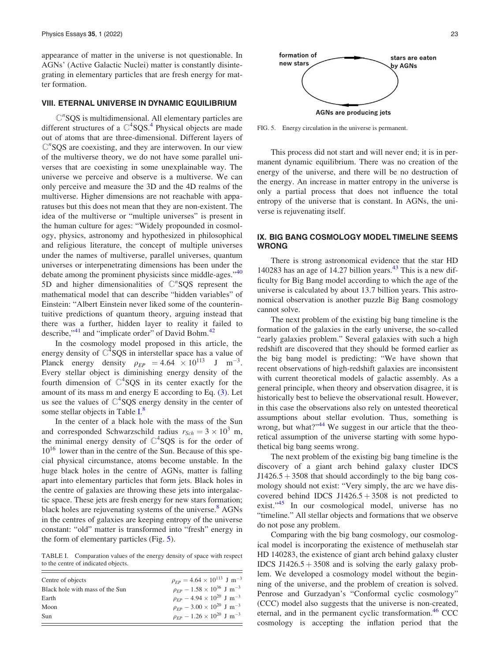<span id="page-8-0"></span>appearance of matter in the universe is not questionable. In AGNs' (Active Galactic Nuclei) matter is constantly disintegrating in elementary particles that are fresh energy for matter formation.

#### VIII. ETERNAL UNIVERSE IN DYNAMIC EQUILIBRIUM

 $\mathbb{C}^n$ SQS is multidimensional. All elementary particles are different structures of a  $\mathbb{C}^4$  $\mathbb{C}^4$ SQS.<sup>4</sup> Physical objects are made out of atoms that are three-dimensional. Different layers of  $\mathbb{C}^n$ SQS are coexisting, and they are interwoven. In our view of the multiverse theory, we do not have some parallel universes that are coexisting in some unexplainable way. The universe we perceive and observe is a multiverse. We can only perceive and measure the 3D and the 4D realms of the multiverse. Higher dimensions are not reachable with apparatuses but this does not mean that they are non-existent. The idea of the multiverse or "multiple universes" is present in the human culture for ages: "Widely propounded in cosmology, physics, astronomy and hypothesized in philosophical and religious literature, the concept of multiple universes under the names of multiverse, parallel universes, quantum universes or interpenetrating dimensions has been under the debate among the prominent physicists since middle-ages."<sup>[40](#page-9-0)</sup> 5D and higher dimensionalities of  $\mathbb{C}^n$ SQS represent the mathematical model that can describe "hidden variables" of Einstein: "Albert Einstein never liked some of the counterintuitive predictions of quantum theory, arguing instead that there was a further, hidden layer to reality it failed to describe,"<sup>[41](#page-9-0)</sup> and "implicate order" of David Bohm.<sup>[42](#page-9-0)</sup>

In the cosmology model proposed in this article, the energy density of  $C<sup>4</sup>$ SQS in interstellar space has a value of Planck energy density  $\rho_{EP} = 4.64 \times 10^{113}$  J m<sup>-3</sup>. Every stellar object is diminishing energy density of the fourth dimension of  $C<sup>4</sup>SQS$  in its center exactly for the amount of its mass m and energy  $E$  according to Eq.  $(3)$ . Let us see the values of  $C^4$ SQS energy density in the center of some stellar objects in Table I.<sup>[8](#page-9-0)</sup>

In the center of a black hole with the mass of the Sun and corresponded Schwarzschild radius  $r_{Sch} = 3 \times 10^3$  m, the minimal energy density of  $\mathbb{C}^4$ SQS is for the order of  $10^{16}$  lower than in the centre of the Sun. Because of this special physical circumstance, atoms become unstable. In the huge black holes in the centre of AGNs, matter is falling apart into elementary particles that form jets. Black holes in the centre of galaxies are throwing these jets into intergalactic space. These jets are fresh energy for new stars formation; black holes are rejuvenating systems of the universe.<sup>[8](#page-9-0)</sup> AGNs in the centres of galaxies are keeping entropy of the universe constant: "old" matter is transformed into "fresh" energy in the form of elementary particles (Fig. 5).

TABLE I. Comparation values of the energy density of space with respect to the centre of indicated objects.

| Centre of objects               | $\rho_{EP} = 4.64 \times 10^{113}$ J m <sup>-3</sup>           |
|---------------------------------|----------------------------------------------------------------|
| Black hole with mass of the Sun | $\rho_{EP}$ – 1.58 × 10 <sup>36</sup> J m <sup>-3</sup>        |
| Earth                           | $\rho_{EP}$ – 4.94 $\times$ 10 <sup>20</sup> J m <sup>-3</sup> |
| Moon                            | $\rho_{EP}$ – 3.00 $\times$ 10 <sup>20</sup> J m <sup>-3</sup> |
| Sun                             | $\rho_{EP}$ – 1.26 × 10 <sup>20</sup> J m <sup>-3</sup>        |



FIG. 5. Energy circulation in the universe is permanent.

This process did not start and will never end; it is in permanent dynamic equilibrium. There was no creation of the energy of the universe, and there will be no destruction of the energy. An increase in matter entropy in the universe is only a partial process that does not influence the total entropy of the universe that is constant. In AGNs, the universe is rejuvenating itself.

## IX. BIG BANG COSMOLOGY MODEL TIMELINE SEEMS WRONG

There is strong astronomical evidence that the star HD 140283 has an age of 14.27 billion years. $43$  This is a new difficulty for Big Bang model according to which the age of the universe is calculated by about 13.7 billion years. This astronomical observation is another puzzle Big Bang cosmology cannot solve.

The next problem of the existing big bang timeline is the formation of the galaxies in the early universe, the so-called "early galaxies problem." Several galaxies with such a high redshift are discovered that they should be formed earlier as the big bang model is predicting: "We have shown that recent observations of high-redshift galaxies are inconsistent with current theoretical models of galactic assembly. As a general principle, when theory and observation disagree, it is historically best to believe the observational result. However, in this case the observations also rely on untested theoretical assumptions about stellar evolution. Thus, something is wrong, but what?" $44$  We suggest in our article that the theoretical assumption of the universe starting with some hypothetical big bang seems wrong.

The next problem of the existing big bang timeline is the discovery of a giant arch behind galaxy cluster IDCS  $J1426.5 + 3508$  that should accordingly to the big bang cosmology should not exist: "Very simply, the arc we have discovered behind IDCS J1426.5 +  $3508$  is not predicted to exist."<sup>[45](#page-9-0)</sup> In our cosmological model, universe has no "timeline." All stellar objects and formations that we observe do not pose any problem.

Comparing with the big bang cosmology, our cosmological model is incorporating the existence of methuselah star HD 140283, the existence of giant arch behind galaxy cluster IDCS  $J1426.5 + 3508$  and is solving the early galaxy problem. We developed a cosmology model without the beginning of the universe, and the problem of creation is solved. Penrose and Gurzadyan's "Conformal cyclic cosmology" (CCC) model also suggests that the universe is non-created, eternal, and in the permanent cyclic transformation. $46$  CCC cosmology is accepting the inflation period that the